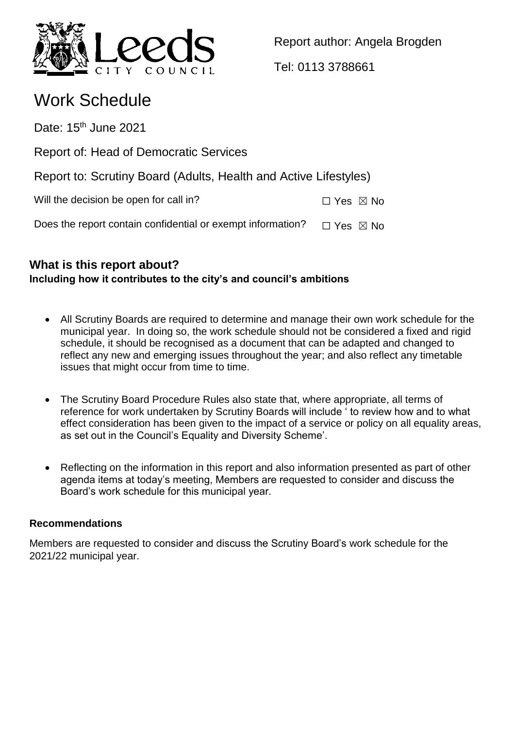

Report author: Angela Brogden

Tel: 0113 3788661

# Work Schedule

Date:  $15<sup>th</sup>$  June 2021

Report of: Head of Democratic Services

Report to: Scrutiny Board (Adults, Health and Active Lifestyles)

Will the decision be open for call in?  $\square$  Yes  $\square$  No

Does the report contain confidential or exempt information?  $\Box$  Yes  $\boxtimes$  No

## **What is this report about? Including how it contributes to the city's and council's ambitions**

- All Scrutiny Boards are required to determine and manage their own work schedule for the municipal year. In doing so, the work schedule should not be considered a fixed and rigid schedule, it should be recognised as a document that can be adapted and changed to reflect any new and emerging issues throughout the year; and also reflect any timetable issues that might occur from time to time.
- The Scrutiny Board Procedure Rules also state that, where appropriate, all terms of reference for work undertaken by Scrutiny Boards will include ' to review how and to what effect consideration has been given to the impact of a service or policy on all equality areas, as set out in the Council's Equality and Diversity Scheme'.
- Reflecting on the information in this report and also information presented as part of other agenda items at today's meeting, Members are requested to consider and discuss the Board's work schedule for this municipal year.

## **Recommendations**

Members are requested to consider and discuss the Scrutiny Board's work schedule for the 2021/22 municipal year.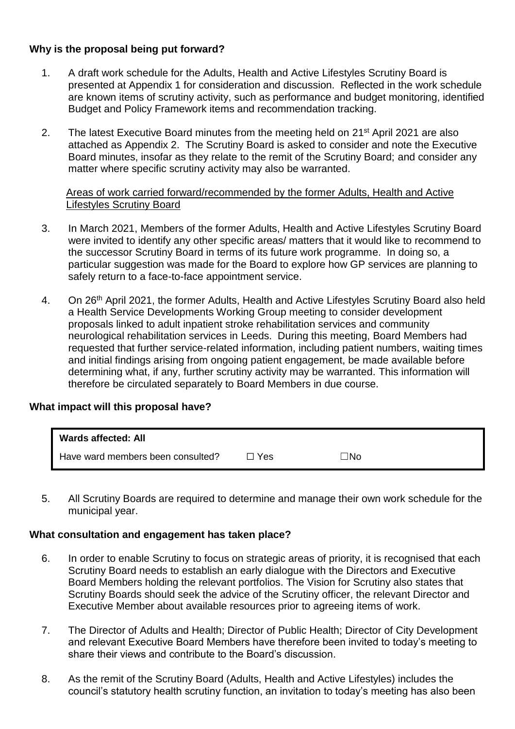## **Why is the proposal being put forward?**

- 1. A draft work schedule for the Adults, Health and Active Lifestyles Scrutiny Board is presented at Appendix 1 for consideration and discussion. Reflected in the work schedule are known items of scrutiny activity, such as performance and budget monitoring, identified Budget and Policy Framework items and recommendation tracking.
- 2. The latest Executive Board minutes from the meeting held on 21<sup>st</sup> April 2021 are also attached as Appendix 2. The Scrutiny Board is asked to consider and note the Executive Board minutes, insofar as they relate to the remit of the Scrutiny Board; and consider any matter where specific scrutiny activity may also be warranted.

#### Areas of work carried forward/recommended by the former Adults, Health and Active Lifestyles Scrutiny Board

- 3. In March 2021, Members of the former Adults, Health and Active Lifestyles Scrutiny Board were invited to identify any other specific areas/ matters that it would like to recommend to the successor Scrutiny Board in terms of its future work programme. In doing so, a particular suggestion was made for the Board to explore how GP services are planning to safely return to a face-to-face appointment service.
- 4. On 26<sup>th</sup> April 2021, the former Adults, Health and Active Lifestyles Scrutiny Board also held a Health Service Developments Working Group meeting to consider development proposals linked to adult inpatient stroke rehabilitation services and community neurological rehabilitation services in Leeds. During this meeting, Board Members had requested that further service-related information, including patient numbers, waiting times and initial findings arising from ongoing patient engagement, be made available before determining what, if any, further scrutiny activity may be warranted. This information will therefore be circulated separately to Board Members in due course.

### **What impact will this proposal have?**

| Wards affected: All               |       |           |  |
|-----------------------------------|-------|-----------|--|
| Have ward members been consulted? | コ Yes | $\Box$ No |  |

5. All Scrutiny Boards are required to determine and manage their own work schedule for the municipal year.

#### **What consultation and engagement has taken place?**

- 6. In order to enable Scrutiny to focus on strategic areas of priority, it is recognised that each Scrutiny Board needs to establish an early dialogue with the Directors and Executive Board Members holding the relevant portfolios. The Vision for Scrutiny also states that Scrutiny Boards should seek the advice of the Scrutiny officer, the relevant Director and Executive Member about available resources prior to agreeing items of work.
- 7. The Director of Adults and Health; Director of Public Health; Director of City Development and relevant Executive Board Members have therefore been invited to today's meeting to share their views and contribute to the Board's discussion.
- 8. As the remit of the Scrutiny Board (Adults, Health and Active Lifestyles) includes the council's statutory health scrutiny function, an invitation to today's meeting has also been